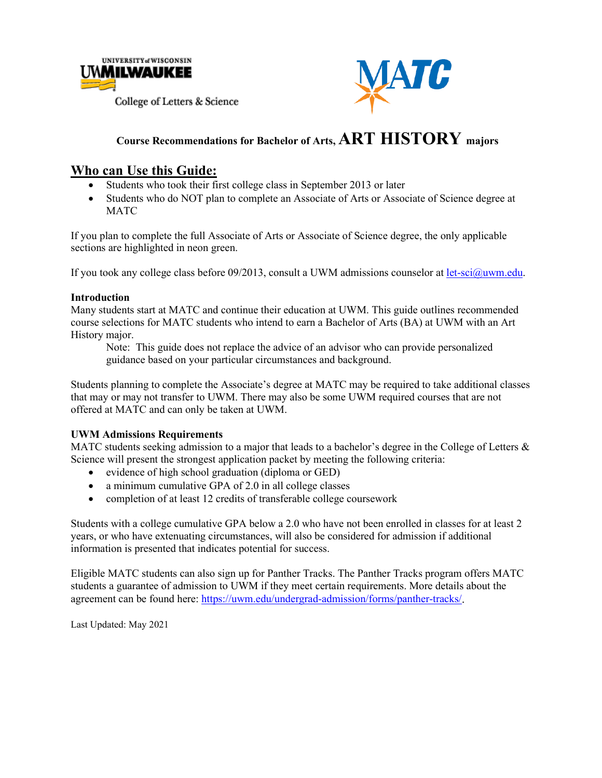



## **Course Recommendations for Bachelor of Arts, ART HISTORY majors**

#### **Who can Use this Guide:**

- Students who took their first college class in September 2013 or later
- Students who do NOT plan to complete an Associate of Arts or Associate of Science degree at **MATC**

If you plan to complete the full Associate of Arts or Associate of Science degree, the only applicable sections are highlighted in neon green.

If you took any college class before 09/2013, consult a UWM admissions counselor at [let-sci@uwm.edu.](mailto:let-sci@uwm.edu)

#### **Introduction**

Many students start at MATC and continue their education at UWM. This guide outlines recommended course selections for MATC students who intend to earn a Bachelor of Arts (BA) at UWM with an Art History major.

Note: This guide does not replace the advice of an advisor who can provide personalized guidance based on your particular circumstances and background.

Students planning to complete the Associate's degree at MATC may be required to take additional classes that may or may not transfer to UWM. There may also be some UWM required courses that are not offered at MATC and can only be taken at UWM.

#### **UWM Admissions Requirements**

MATC students seeking admission to a major that leads to a bachelor's degree in the College of Letters  $\&$ Science will present the strongest application packet by meeting the following criteria:

- evidence of high school graduation (diploma or GED)
- a minimum cumulative GPA of 2.0 in all college classes
- completion of at least 12 credits of transferable college coursework

Students with a college cumulative GPA below a 2.0 who have not been enrolled in classes for at least 2 years, or who have extenuating circumstances, will also be considered for admission if additional information is presented that indicates potential for success.

Eligible MATC students can also sign up for Panther Tracks. The Panther Tracks program offers MATC students a guarantee of admission to UWM if they meet certain requirements. More details about the agreement can be found here: [https://uwm.edu/undergrad-admission/forms/panther-tracks/.](https://uwm.edu/undergrad-admission/forms/panther-tracks/)

Last Updated: May 2021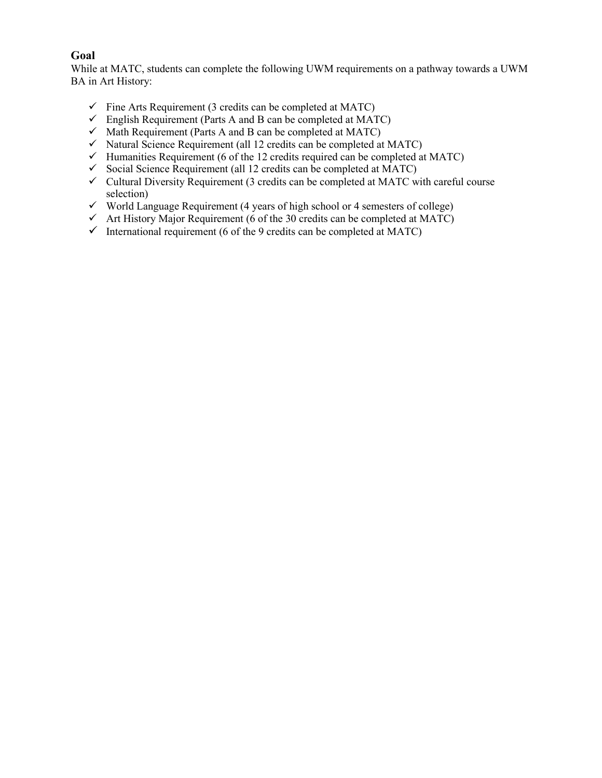#### **Goal**

While at MATC, students can complete the following UWM requirements on a pathway towards a UWM BA in Art History:

- $\checkmark$  Fine Arts Requirement (3 credits can be completed at MATC)
- $\checkmark$  English Requirement (Parts A and B can be completed at MATC)
- $\checkmark$  Math Requirement (Parts A and B can be completed at MATC)
- $\checkmark$  Natural Science Requirement (all 12 credits can be completed at MATC)
- $\checkmark$  Humanities Requirement (6 of the 12 credits required can be completed at MATC)
- $\checkmark$  Social Science Requirement (all 12 credits can be completed at MATC)
- $\checkmark$  Cultural Diversity Requirement (3 credits can be completed at MATC with careful course selection)
- $\checkmark$  World Language Requirement (4 years of high school or 4 semesters of college)
- $\checkmark$  Art History Major Requirement (6 of the 30 credits can be completed at MATC)
- $\checkmark$  International requirement (6 of the 9 credits can be completed at MATC)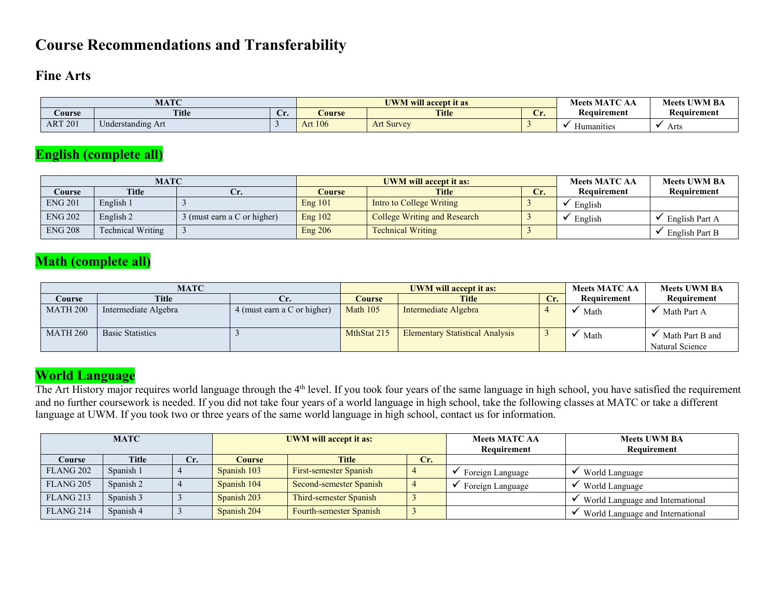### **Course Recommendations and Transferability**

#### **Fine Arts**

|                | <b>MATC</b>                        |    | <b>UWM</b> will accept it as | : MATC<br><b>Meets</b>        | <b>Meets UWM BA</b> |             |             |
|----------------|------------------------------------|----|------------------------------|-------------------------------|---------------------|-------------|-------------|
| <b>Course</b>  | <b>Title</b>                       | v. | Course                       | <b>Title</b><br>$\sim$<br>مدب |                     | Keauırement | Keauırement |
| <b>ART 201</b> | $\sim$ $\sim$<br>Understanding Art |    | <b>Art 106</b>               | <b>Art Survey</b>             |                     | manities    | Arts        |

### **English (complete all)**

|                | <b>MATC</b>              |                             |           | <b>UWM will accept it as:</b> | <b>Meets MATC AA</b> | <b>Meets UWM BA</b> |                |
|----------------|--------------------------|-----------------------------|-----------|-------------------------------|----------------------|---------------------|----------------|
| Course         | <b>Title</b>             |                             | Course    | <b>Title</b>                  | Сr.                  | Requirement         | Requirement    |
| <b>ENG 201</b> | English 1                |                             | Eng 101   | Intro to College Writing      |                      | English             |                |
| <b>ENG 202</b> | English 2                | 3 (must earn a C or higher) | Eng $102$ | College Writing and Research  |                      | English             | English Part A |
| <b>ENG 208</b> | <b>Technical Writing</b> |                             | Eng 206   | <b>Technical Writing</b>      |                      |                     | English Part B |

### **Math (complete all)**

|                 | MATC                    |                             |             | <b>UWM</b> will accept it as:          |     | <b>Meets MATC AA</b> | <b>Meets UWM BA</b>                |
|-----------------|-------------------------|-----------------------------|-------------|----------------------------------------|-----|----------------------|------------------------------------|
| Course          | <b>Title</b>            | Ur.                         | Course      | <b>Title</b>                           | Cr. | Requirement          | Requirement                        |
| <b>MATH 200</b> | Intermediate Algebra    | 4 (must earn a C or higher) | Math 105    | Intermediate Algebra                   |     | Math                 | Math Part A                        |
| <b>MATH 260</b> | <b>Basic Statistics</b> |                             | MthStat 215 | <b>Elementary Statistical Analysis</b> |     | Math                 | Math Part B and<br>Natural Science |

### **World Language**

The Art History major requires world language through the 4<sup>th</sup> level. If you took four years of the same language in high school, you have satisfied the requirement and no further coursework is needed. If you did not take four years of a world language in high school, take the following classes at MATC or take a different language at UWM. If you took two or three years of the same world language in high school, contact us for information.

| <b>MATC</b>          |              |     |             | <b>UWM</b> will accept it as: |     | <b>Meets MATC AA</b><br>Requirement | <b>Meets UWM BA</b><br>Requirement |
|----------------------|--------------|-----|-------------|-------------------------------|-----|-------------------------------------|------------------------------------|
| Course               | <b>Title</b> | Cr. | Course      | <b>Title</b>                  | Cr. |                                     |                                    |
| FLANG <sub>202</sub> | Spanish 1    |     | Spanish 103 | First-semester Spanish        |     | Foreign Language                    | World Language                     |
| FLANG <sub>205</sub> | Spanish 2    |     | Spanish 104 | Second-semester Spanish       |     | Foreign Language                    | World Language                     |
| FLANG <sub>213</sub> | Spanish 3    |     | Spanish 203 | Third-semester Spanish        |     |                                     | World Language and International   |
| FLANG <sub>214</sub> | Spanish 4    |     | Spanish 204 | Fourth-semester Spanish       |     |                                     | World Language and International   |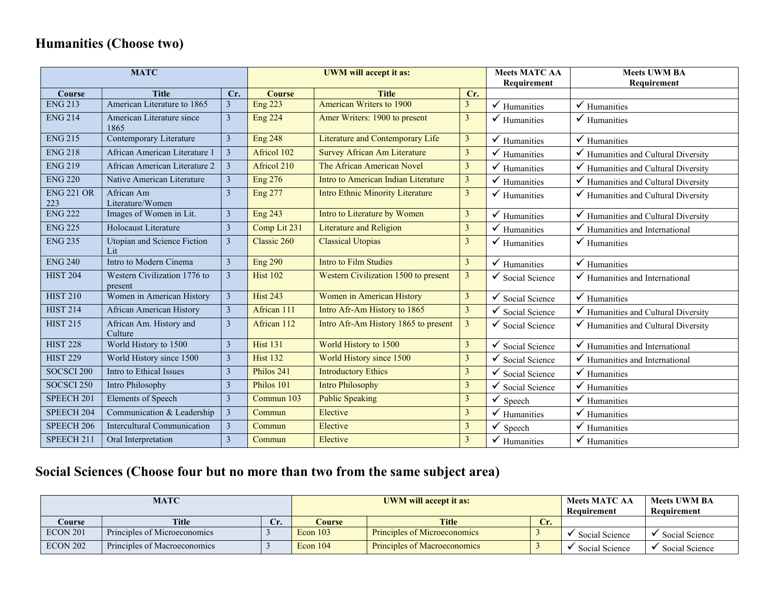## **Humanities (Choose two)**

|                          | <b>MATC</b>                             |                         |                 | <b>UWM</b> will accept it as:           | <b>Meets MATC AA</b> | <b>Meets UWM BA</b>     |                                                |
|--------------------------|-----------------------------------------|-------------------------|-----------------|-----------------------------------------|----------------------|-------------------------|------------------------------------------------|
|                          |                                         |                         |                 |                                         |                      | Requirement             | Requirement                                    |
| Course                   | <b>Title</b>                            | Cr.                     | <b>Course</b>   | <b>Title</b>                            | Cr.                  |                         |                                                |
| <b>ENG 213</b>           | American Literature to 1865             | $\overline{3}$          | <b>Eng 223</b>  | American Writers to 1900                | 3                    | $\checkmark$ Humanities | $\checkmark$ Humanities                        |
| <b>ENG 214</b>           | American Literature since<br>1865       | $\mathfrak{Z}$          | <b>Eng 224</b>  | Amer Writers: 1900 to present           | 3                    | Humanities              | Humanities                                     |
| <b>ENG 215</b>           | Contemporary Literature                 | $\mathfrak{Z}$          | <b>Eng 248</b>  | Literature and Contemporary Life        | 3                    | Humanities              | $\checkmark$ Humanities                        |
| <b>ENG 218</b>           | African American Literature 1           | $\overline{3}$          | Africol 102     | <b>Survey African Am Literature</b>     | $\overline{3}$       | Humanities              | Humanities and Cultural Diversity              |
| <b>ENG 219</b>           | African American Literature 2           | $\overline{3}$          | Africol 210     | The African American Novel              | $\overline{3}$       | Humanities              | Humanities and Cultural Diversity              |
| <b>ENG 220</b>           | Native American Literature              | $\mathfrak{Z}$          | <b>Eng 276</b>  | Intro to American Indian Literature     | $\overline{3}$       | Humanities              | Humanities and Cultural Diversity              |
| <b>ENG 221 OR</b><br>223 | African Am<br>Literature/Women          | 3                       | <b>Eng 277</b>  | <b>Intro Ethnic Minority Literature</b> | $\mathfrak{Z}$       | $\checkmark$ Humanities | $\checkmark$ Humanities and Cultural Diversity |
| <b>ENG 222</b>           | Images of Women in Lit.                 | $\mathfrak{Z}$          | <b>Eng 243</b>  | Intro to Literature by Women            | 3                    | Humanities              | $\checkmark$ Humanities and Cultural Diversity |
| <b>ENG 225</b>           | Holocaust Literature                    | $\mathfrak{Z}$          | Comp Lit 231    | <b>Literature and Religion</b>          | 3                    | Humanities              | Humanities and International                   |
| <b>ENG 235</b>           | Utopian and Science Fiction<br>Lit      | $\mathfrak{Z}$          | Classic 260     | <b>Classical Utopias</b>                | 3                    | Humanities              | $\checkmark$ Humanities                        |
| <b>ENG 240</b>           | Intro to Modern Cinema                  | $\overline{3}$          | <b>Eng 290</b>  | <b>Intro to Film Studies</b>            | 3                    | ✓<br>Humanities         | $\checkmark$ Humanities                        |
| <b>HIST 204</b>          | Western Civilization 1776 to<br>present | $\mathfrak{Z}$          | <b>Hist 102</b> | Western Civilization 1500 to present    | 3                    | Social Science          | $\checkmark$ Humanities and International      |
| <b>HIST 210</b>          | Women in American History               | $\mathfrak{Z}$          | <b>Hist 243</b> | Women in American History               | 3                    | ✓<br>Social Science     | $\checkmark$ Humanities                        |
| <b>HIST 214</b>          | <b>African American History</b>         | $\mathfrak{Z}$          | African 111     | Intro Afr-Am History to 1865            | $\overline{3}$       | ✓<br>Social Science     | Humanities and Cultural Diversity              |
| <b>HIST 215</b>          | African Am. History and<br>Culture      | $\mathfrak{Z}$          | African 112     | Intro Afr-Am History 1865 to present    | $\mathfrak{Z}$       | Social Science          | Humanities and Cultural Diversity              |
| <b>HIST 228</b>          | World History to 1500                   | $\overline{\mathbf{3}}$ | <b>Hist 131</b> | World History to 1500                   | 3                    | Social Science          | Humanities and International                   |
| <b>HIST 229</b>          | World History since 1500                | $\mathfrak{Z}$          | <b>Hist 132</b> | World History since 1500                | $\mathfrak{Z}$       | Social Science          | Humanities and International                   |
| SOCSCI 200               | Intro to Ethical Issues                 | $\mathfrak{Z}$          | Philos 241      | <b>Introductory Ethics</b>              | 3                    | Social Science          | ✓<br>Humanities                                |
| SOCSCI <sub>250</sub>    | Intro Philosophy                        | $\overline{3}$          | Philos 101      | <b>Intro Philosophy</b>                 | $\overline{3}$       | Social Science          | Humanities                                     |
| SPEECH <sub>201</sub>    | <b>Elements of Speech</b>               | $\mathfrak{Z}$          | Commun 103      | <b>Public Speaking</b>                  | 3                    | Speech                  | Humanities                                     |
| SPEECH 204               | Communication & Leadership              | $\overline{\mathbf{3}}$ | Commun          | Elective                                | $\mathfrak{Z}$       | Humanities              | Humanities                                     |
| SPEECH <sub>206</sub>    | Intercultural Communication             | $\mathfrak{Z}$          | Commun          | Elective                                | $\overline{3}$       | Speech                  | ✓<br>Humanities                                |
| SPEECH 211               | Oral Interpretation                     | $\mathfrak{Z}$          | Commun          | Elective                                | $\mathfrak{Z}$       | $\checkmark$ Humanities | $\checkmark$ Humanities                        |

# **Social Sciences (Choose four but no more than two from the same subject area)**

|          | <b>MATC</b>                  |     | <b>UWM</b> will accept it as: |                              |     | <b>Meets MATC AA</b><br>Requirement | <b>Meets UWM BA</b><br>Requirement |
|----------|------------------------------|-----|-------------------------------|------------------------------|-----|-------------------------------------|------------------------------------|
| Course   | <b>Title</b>                 | Cr. | Course                        | <b>Title</b>                 | Cr. |                                     |                                    |
| ECON 201 | Principles of Microeconomics |     | Econ $103$                    | Principles of Microeconomics |     | Social Science                      | Social Science                     |
| ECON 202 | Principles of Macroeconomics |     | Econ $104$                    | Principles of Macroeconomics |     | Social Science                      | Social Science                     |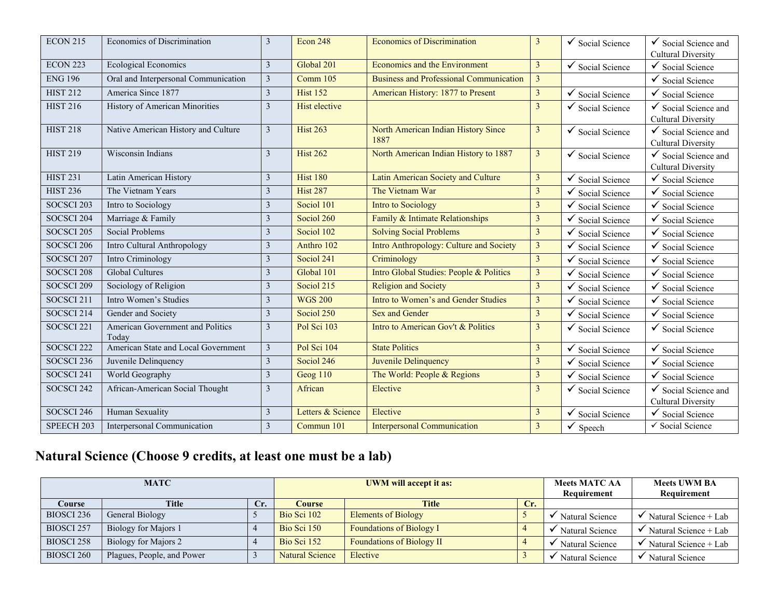| <b>ECON 215</b>       | Economics of Discrimination               | 3              | <b>Econ 248</b>   | <b>Economics of Discrimination</b>             | 3              | $\checkmark$ Social Science | $\checkmark$ Social Science and<br><b>Cultural Diversity</b> |
|-----------------------|-------------------------------------------|----------------|-------------------|------------------------------------------------|----------------|-----------------------------|--------------------------------------------------------------|
| <b>ECON 223</b>       | <b>Ecological Economics</b>               | 3              | Global 201        | Economics and the Environment                  | $\overline{3}$ | $\checkmark$ Social Science | $\checkmark$<br>Social Science                               |
| <b>ENG 196</b>        | Oral and Interpersonal Communication      | 3              | Comm 105          | <b>Business and Professional Communication</b> | $\mathfrak{Z}$ |                             | Social Science                                               |
| <b>HIST 212</b>       | America Since 1877                        | 3              | <b>Hist 152</b>   | American History: 1877 to Present              | $\mathfrak{Z}$ | ✓<br>Social Science         | ✓<br>Social Science                                          |
| <b>HIST 216</b>       | History of American Minorities            | 3              | Hist elective     |                                                | $\overline{3}$ | $\checkmark$ Social Science | Social Science and<br><b>Cultural Diversity</b>              |
| <b>HIST 218</b>       | Native American History and Culture       | $\mathfrak{Z}$ | <b>Hist 263</b>   | North American Indian History Since<br>1887    | $\mathfrak{Z}$ | $\checkmark$ Social Science | $\checkmark$ Social Science and<br><b>Cultural Diversity</b> |
| <b>HIST 219</b>       | Wisconsin Indians                         | 3              | <b>Hist 262</b>   | North American Indian History to 1887          | $\mathfrak{Z}$ | $\checkmark$ Social Science | Social Science and<br><b>Cultural Diversity</b>              |
| <b>HIST 231</b>       | Latin American History                    | 3              | <b>Hist 180</b>   | Latin American Society and Culture             | $\mathfrak{Z}$ | ✓<br>Social Science         | Social Science                                               |
| <b>HIST 236</b>       | The Vietnam Years                         | 3              | <b>Hist 287</b>   | The Vietnam War                                | $\mathfrak{Z}$ | Social Science              | Social Science                                               |
| SOCSCI <sub>203</sub> | Intro to Sociology                        | 3              | Sociol 101        | <b>Intro to Sociology</b>                      | $\overline{3}$ | ✓<br>Social Science         | ✓<br>Social Science                                          |
| SOCSCI 204            | Marriage & Family                         | 3              | Sociol 260        | Family & Intimate Relationships                | $\mathfrak{Z}$ | ✓<br>Social Science         | ✓<br>Social Science                                          |
| SOCSCI <sub>205</sub> | <b>Social Problems</b>                    | 3              | Sociol 102        | <b>Solving Social Problems</b>                 | $\overline{3}$ | ✓<br>Social Science         | ✓<br>Social Science                                          |
| SOCSCI 206            | Intro Cultural Anthropology               | 3              | Anthro 102        | Intro Anthropology: Culture and Society        | $\mathfrak{Z}$ | Social Science              | Social Science                                               |
| SOCSCI 207            | Intro Criminology                         | 3              | Sociol 241        | Criminology                                    | $\overline{3}$ | Social Science              | Social Science                                               |
| SOCSCI 208            | <b>Global Cultures</b>                    | 3              | Global 101        | Intro Global Studies: People & Politics        | $\overline{3}$ | Social Science              | Social Science                                               |
| SOCSCI 209            | Sociology of Religion                     | 3              | Sociol 215        | <b>Religion and Society</b>                    | 3              | Social Science              | Social Science                                               |
| SOCSCI <sub>211</sub> | Intro Women's Studies                     | 3              | <b>WGS 200</b>    | Intro to Women's and Gender Studies            | $\overline{3}$ | ✓<br>Social Science         | Social Science                                               |
| SOCSCI 214            | Gender and Society                        | 3              | Sociol 250        | <b>Sex and Gender</b>                          | $\mathfrak{Z}$ | Social Science              | Social Science                                               |
| SOCSCI <sub>221</sub> | American Government and Politics<br>Today | 3              | Pol Sci 103       | Intro to American Gov't & Politics             | $\overline{3}$ | $\checkmark$ Social Science | $\checkmark$ Social Science                                  |
| SOCSCI <sub>222</sub> | American State and Local Government       | 3              | Pol Sci 104       | <b>State Politics</b>                          | $\mathfrak{Z}$ | ✓<br>Social Science         | ✓<br>Social Science                                          |
| SOCSCI <sub>236</sub> | Juvenile Delinquency                      | 3              | Sociol 246        | Juvenile Delinquency                           | $\mathfrak{Z}$ | Social Science              | Social Science                                               |
| SOCSCI 241            | World Geography                           | 3              | Geog 110          | The World: People & Regions                    | $\overline{3}$ | Social Science              | ✓<br>Social Science                                          |
| SOCSCI <sub>242</sub> | African-American Social Thought           | 3              | African           | Elective                                       | 3              | $\checkmark$ Social Science | Social Science and<br>✓<br><b>Cultural Diversity</b>         |
| SOCSCI 246            | Human Sexuality                           | 3              | Letters & Science | Elective                                       | $\mathfrak{Z}$ | Social Science              | $\checkmark$ Social Science                                  |
| SPEECH 203            | Interpersonal Communication               | 3              | Commun 101        | <b>Interpersonal Communication</b>             | $\mathfrak{Z}$ | $\checkmark$ Speech         | ✔ Social Science                                             |

# **Natural Science (Choose 9 credits, at least one must be a lab)**

|                       | <b>MATC</b>                |     | <b>UWM</b> will accept it as: |                                  |             | <b>Meets MATC AA</b> | <b>Meets UWM BA</b>   |
|-----------------------|----------------------------|-----|-------------------------------|----------------------------------|-------------|----------------------|-----------------------|
|                       |                            |     |                               |                                  | Requirement | Requirement          |                       |
| Course                | Title                      | Cr. | <b>Course</b>                 | Title                            | Cr.         |                      |                       |
| BIOSCI 236            | General Biology            |     | Bio Sci 102                   | <b>Elements of Biology</b>       |             | Natural Science      | Natural Science + Lab |
| <b>BIOSCI 257</b>     | Biology for Majors 1       |     | Bio Sci 150                   | <b>Foundations of Biology I</b>  |             | Natural Science      | Natural Science + Lab |
| BIOSCI <sub>258</sub> | Biology for Majors 2       |     | Bio Sci 152                   | <b>Foundations of Biology II</b> |             | Natural Science      | Natural Science + Lab |
| <b>BIOSCI 260</b>     | Plagues, People, and Power |     | <b>Natural Science</b>        | Elective                         |             | Natural Science      | Natural Science       |